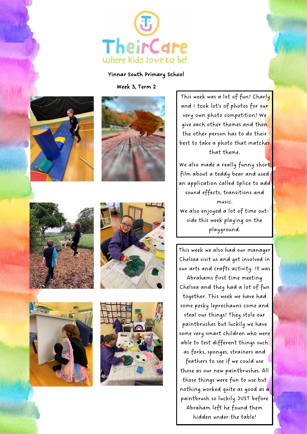

## Yinnar South Primary School

Week 3, Term 2













This week was a lot of fun! Charly and I took lot's of photos for our very own photo competition! We give each other themes and then the other person has to do their best to take a photo that matches that theme.

We also made a really funny short film about a teddy bear and used an application called Splice to add sound effects, transitions and music. We also enjoyed a lot of time outside this week playing on the

This week we also had our manager Chelsea visit us and get involved in our arts and crafts activity. It was

playground.

Abrahams first time meeting Chelsea and they had a lot of fun together. This week we have had some pesky leprechauns come and steal our things! They stole our paintbrushes but luckily we have some very smart children who were able to test different things such as forks, sponges, strainers and

feathers to see if we could use those as our new paintbrushes. All those things were fun to use but nothing worked quite as good as a paintbrush so luckily JUST before Abraham left he found them hidden under the table!